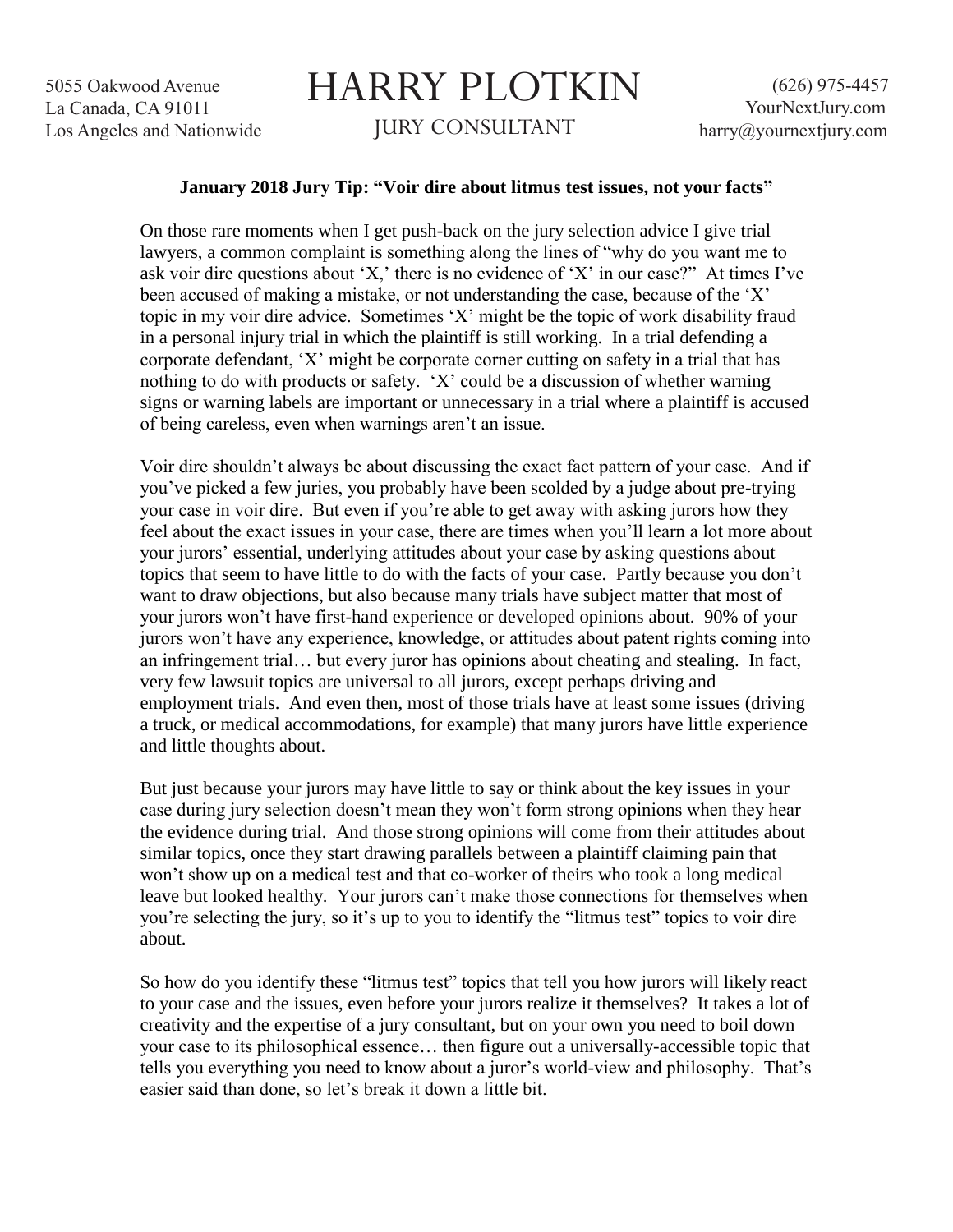5055 Oakwood Avenue La Canada, CA 91011 Los Angeles and Nationwide

## HARRY PLOTKIN JURY CONSULTANT

## **January 2018 Jury Tip: "Voir dire about litmus test issues, not your facts"**

On those rare moments when I get push-back on the jury selection advice I give trial lawyers, a common complaint is something along the lines of "why do you want me to ask voir dire questions about 'X,' there is no evidence of 'X' in our case?" At times I've been accused of making a mistake, or not understanding the case, because of the 'X' topic in my voir dire advice. Sometimes 'X' might be the topic of work disability fraud in a personal injury trial in which the plaintiff is still working. In a trial defending a corporate defendant, 'X' might be corporate corner cutting on safety in a trial that has nothing to do with products or safety. 'X' could be a discussion of whether warning signs or warning labels are important or unnecessary in a trial where a plaintiff is accused of being careless, even when warnings aren't an issue.

Voir dire shouldn't always be about discussing the exact fact pattern of your case. And if you've picked a few juries, you probably have been scolded by a judge about pre-trying your case in voir dire. But even if you're able to get away with asking jurors how they feel about the exact issues in your case, there are times when you'll learn a lot more about your jurors' essential, underlying attitudes about your case by asking questions about topics that seem to have little to do with the facts of your case. Partly because you don't want to draw objections, but also because many trials have subject matter that most of your jurors won't have first-hand experience or developed opinions about. 90% of your jurors won't have any experience, knowledge, or attitudes about patent rights coming into an infringement trial… but every juror has opinions about cheating and stealing. In fact, very few lawsuit topics are universal to all jurors, except perhaps driving and employment trials. And even then, most of those trials have at least some issues (driving a truck, or medical accommodations, for example) that many jurors have little experience and little thoughts about.

But just because your jurors may have little to say or think about the key issues in your case during jury selection doesn't mean they won't form strong opinions when they hear the evidence during trial. And those strong opinions will come from their attitudes about similar topics, once they start drawing parallels between a plaintiff claiming pain that won't show up on a medical test and that co-worker of theirs who took a long medical leave but looked healthy. Your jurors can't make those connections for themselves when you're selecting the jury, so it's up to you to identify the "litmus test" topics to voir dire about.

So how do you identify these "litmus test" topics that tell you how jurors will likely react to your case and the issues, even before your jurors realize it themselves? It takes a lot of creativity and the expertise of a jury consultant, but on your own you need to boil down your case to its philosophical essence… then figure out a universally-accessible topic that tells you everything you need to know about a juror's world-view and philosophy. That's easier said than done, so let's break it down a little bit.